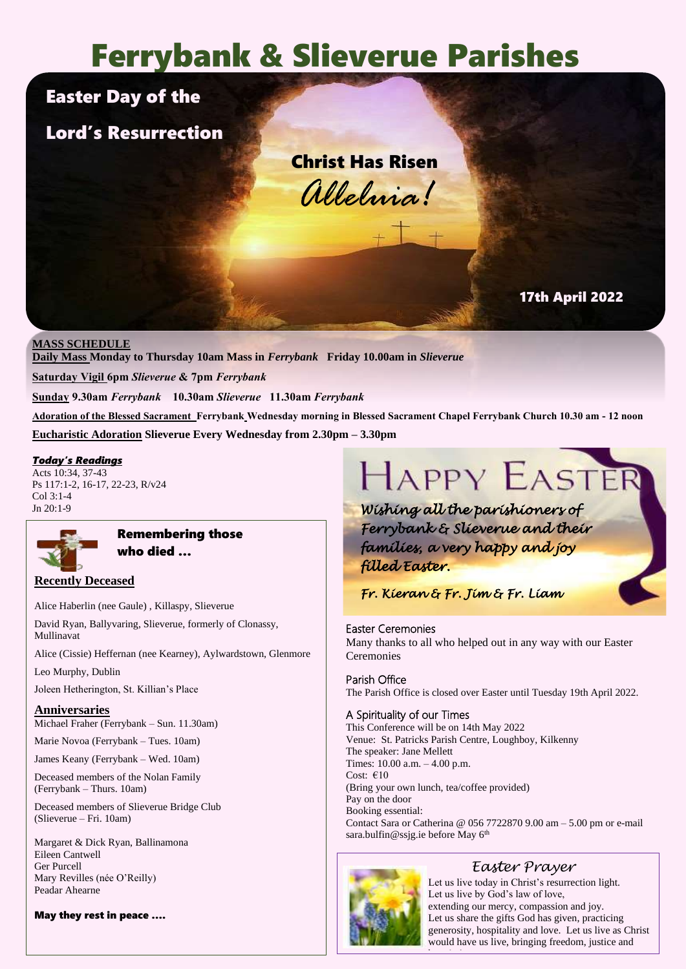# Ferrybank & Slieverue Parishes

# Easter Day of the

# Lord's Resurrection

Christ Has Risen *Alleluia!*

## 17th April 2022

#### **MASS SCHEDULE**

**Daily Mass Monday to Thursday 10am Mass in** *Ferrybank* **Friday 10.00am in** *Slieverue*

**Saturday Vigil 6pm** *Slieverue* **& 7pm** *Ferrybank*

**Sunday 9.30am** *Ferrybank* **10.30am** *Slieverue* **11.30am** *Ferrybank*

**Adoration of the Blessed Sacrament Ferrybank Wednesday morning in Blessed Sacrament Chapel Ferrybank Church 10.30 am - 12 noon Eucharistic Adoration Slieverue Every Wednesday from 2.30pm – 3.30pm**

#### *Today's Readings*

Acts 10:34, 37-43 Ps 117:1-2, 16-17, 22-23, R/v24  $Col 3:1-4$ Jn 20:1-9



#### Remembering those who died …

#### **Recently Deceased**

Alice Haberlin (nee Gaule) , Killaspy, Slieverue

David Ryan, Ballyvaring, Slieverue, formerly of Clonassy, Mullinavat

Alice (Cissie) Heffernan (nee Kearney), Aylwardstown, Glenmore

Leo Murphy, Dublin

Joleen Hetherington, St. Killian's Place

#### **Anniversaries** Michael Fraher (Ferrybank – Sun. 11.30am)

Marie Novoa (Ferrybank – Tues. 10am)

James Keany (Ferrybank – Wed. 10am)

Deceased members of the Nolan Family (Ferrybank – Thurs. 10am)

Deceased members of Slieverue Bridge Club (Slieverue – Fri. 10am)

Margaret & Dick Ryan, Ballinamona Eileen Cantwell Ger Purcell Mary Revilles (née O'Reilly) Peadar Ahearne

May they rest in peace ….

# HAPPY EASTER

*Wishing all the parishioners of Ferrybank & Slieverue and their families, a very happy and joy filled Easter.* 

*Fr. Kieran & Fr. Jim & Fr. Liam* 

#### Easter Ceremonies

Many thanks to all who helped out in any way with our Easter **Ceremonies** 

# Parish Office

The Parish Office is closed over Easter until Tuesday 19th April 2022.

#### A Spirituality of our Times

This Conference will be on 14th May 2022 Venue: St. Patricks Parish Centre, Loughboy, Kilkenny The speaker: Jane Mellett Times: 10.00 a.m. – 4.00 p.m. Cost: €10 (Bring your own lunch, tea/coffee provided) Pay on the door Booking essential: Contact Sara or Catherina @ 056 7722870 9.00 am – 5.00 pm or e-mail sara.bulfin@ssjg.ie before May 6<sup>th</sup>



# *Easter Prayer*

Let us live today in Christ's resurrection light. Let us live by God's law of love, extending our mercy, compassion and joy. Let us share the gifts God has given, practicing generosity, hospitality and love. Let us live as Christ would have us live, bringing freedom, justice and hope and an amendment